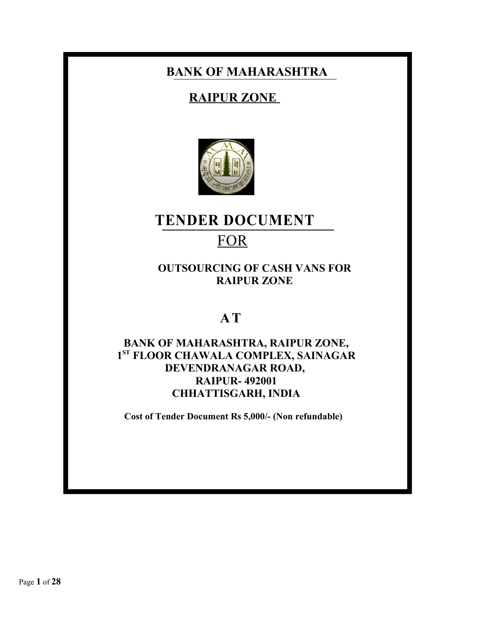# **BANK OF MAHARASHTRA**

# **RAIPUR ZONE**



# **TENDER DOCUMENT**

# **FOR**

# **OUTSOURCING OF CASH VANS FOR RAIPUR ZONE**

# **A T**

# **BANK OF MAHARASHTRA, RAIPUR ZONE, 1 ST FLOOR CHAWALA COMPLEX, SAINAGAR DEVENDRANAGAR ROAD, RAIPUR- 492001 CHHATTISGARH, INDIA**

**Cost of Tender Document Rs 5,000/- (Non refundable)**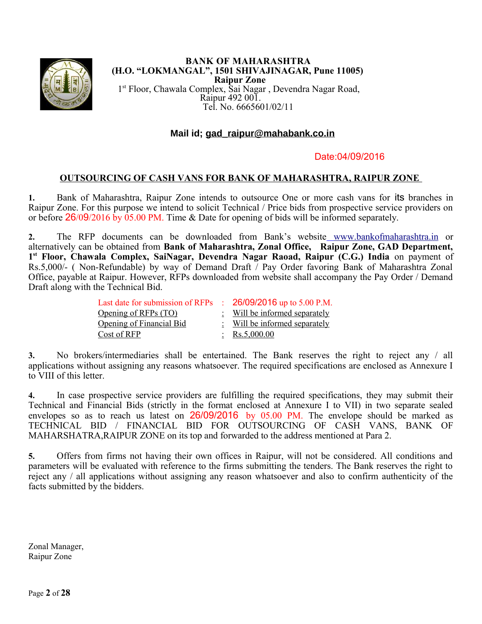

#### **BANK OF MAHARASHTRA (H.O. "LOKMANGAL", 1501 SHIVAJINAGAR, Pune 11005) Raipur Zone** 1st Floor, Chawala Complex, Sai Nagar , Devendra Nagar Road, Raipur 492 001. Tel. No. 6665601/02/11

# **Mail id; gad\_raipur@mahabank.co.in**

### Date:04/09/2016

### **OUTSOURCING OF CASH VANS FOR BANK OF MAHARASHTRA, RAIPUR ZONE**

**1.** Bank of Maharashtra, Raipur Zone intends to outsource One or more cash vans for its branches in Raipur Zone. For this purpose we intend to solicit Technical / Price bids from prospective service providers on or before 26/09/2016 by 05.00 PM. Time & Date for opening of bids will be informed separately.

**2.** The RFP documents can be downloaded from Bank's website [www.bankofmaharashtra.in](http://www.bankofmaharashtra.in/) or alternatively can be obtained from **Bank of Maharashtra, Zonal Office, Raipur Zone, GAD Department, 1 st Floor, Chawala Complex, SaiNagar, Devendra Nagar Raoad, Raipur (C.G.) India** on payment of Rs.5,000/- ( Non-Refundable) by way of Demand Draft / Pay Order favoring Bank of Maharashtra Zonal Office, payable at Raipur. However, RFPs downloaded from website shall accompany the Pay Order / Demand Draft along with the Technical Bid.

| Last date for submission of RFPs : 26/09/2016 up to 5.00 P.M. |                               |
|---------------------------------------------------------------|-------------------------------|
| Opening of RFPs (TO)                                          | : Will be informed separately |
| Opening of Financial Bid                                      | : Will be informed separately |
| Cost of RFP                                                   | : $\text{Rs}.5,000.00$        |

**3.** No brokers/intermediaries shall be entertained. The Bank reserves the right to reject any / all applications without assigning any reasons whatsoever. The required specifications are enclosed as Annexure I to VIII of this letter.

**4.** In case prospective service providers are fulfilling the required specifications, they may submit their Technical and Financial Bids (strictly in the format enclosed at Annexure I to VII) in two separate sealed envelopes so as to reach us latest on 26/09/2016 by 05.00 PM. The envelope should be marked as TECHNICAL BID / FINANCIAL BID FOR OUTSOURCING OF CASH VANS, BANK OF MAHARSHATRA,RAIPUR ZONE on its top and forwarded to the address mentioned at Para 2.

**5.** Offers from firms not having their own offices in Raipur, will not be considered. All conditions and parameters will be evaluated with reference to the firms submitting the tenders. The Bank reserves the right to reject any / all applications without assigning any reason whatsoever and also to confirm authenticity of the facts submitted by the bidders.

Zonal Manager, Raipur Zone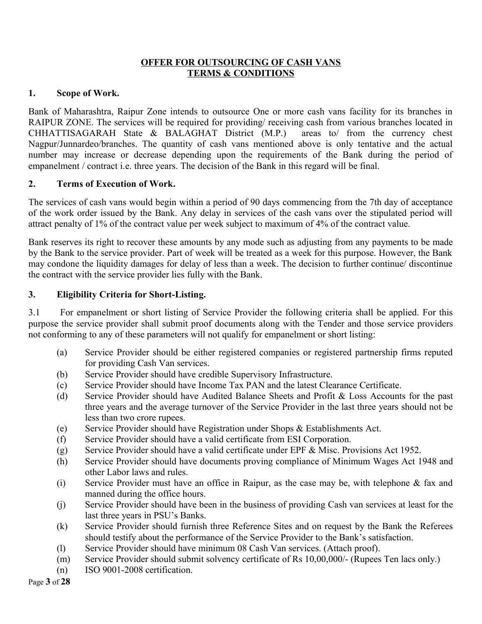### **OFFER FOR OUTSOURCING OF CASH VANS TERMS & CONDITIONS**

### **1. Scope of Work.**

Bank of Maharashtra, Raipur Zone intends to outsource One or more cash vans facility for its branches in RAIPUR ZONE. The services will be required for providing/ receiving cash from various branches located in CHHATTISAGARAH State & BALAGHAT District (M.P.) areas to/ from the currency chest Nagpur/Junnardeo/branches. The quantity of cash vans mentioned above is only tentative and the actual number may increase or decrease depending upon the requirements of the Bank during the period of empanelment / contract i.e. three years. The decision of the Bank in this regard will be final.

# **2. Terms of Execution of Work.**

The services of cash vans would begin within a period of 90 days commencing from the 7th day of acceptance of the work order issued by the Bank. Any delay in services of the cash vans over the stipulated period will attract penalty of 1% of the contract value per week subject to maximum of 4% of the contract value.

Bank reserves its right to recover these amounts by any mode such as adjusting from any payments to be made by the Bank to the service provider. Part of week will be treated as a week for this purpose. However, the Bank may condone the liquidity damages for delay of less than a week. The decision to further continue/ discontinue the contract with the service provider lies fully with the Bank.

# **3. Eligibility Criteria for Short-Listing.**

3.1 For empanelment or short listing of Service Provider the following criteria shall be applied. For this purpose the service provider shall submit proof documents along with the Tender and those service providers not conforming to any of these parameters will not qualify for empanelment or short listing:

- (a) Service Provider should be either registered companies or registered partnership firms reputed for providing Cash Van services.
- (b) Service Provider should have credible Supervisory Infrastructure.
- (c) Service Provider should have Income Tax PAN and the latest Clearance Certificate.
- (d) Service Provider should have Audited Balance Sheets and Profit & Loss Accounts for the past three years and the average turnover of the Service Provider in the last three years should not be less than two crore rupees.
- (e) Service Provider should have Registration under Shops & Establishments Act.
- (f) Service Provider should have a valid certificate from ESI Corporation.
- (g) Service Provider should have a valid certificate under EPF & Misc. Provisions Act 1952.
- (h) Service Provider should have documents proving compliance of Minimum Wages Act 1948 and other Labor laws and rules.
- (i) Service Provider must have an office in Raipur, as the case may be, with telephone & fax and manned during the office hours.
- (j) Service Provider should have been in the business of providing Cash van services at least for the last three years in PSU's Banks.
- (k) Service Provider should furnish three Reference Sites and on request by the Bank the Referees should testify about the performance of the Service Provider to the Bank's satisfaction.
- (l) Service Provider should have minimum 08 Cash Van services. (Attach proof).
- (m) Service Provider should submit solvency certificate of Rs 10,00,000/- (Rupees Ten lacs only.)
- (n) ISO 9001-2008 certification.

Page **3** of **28**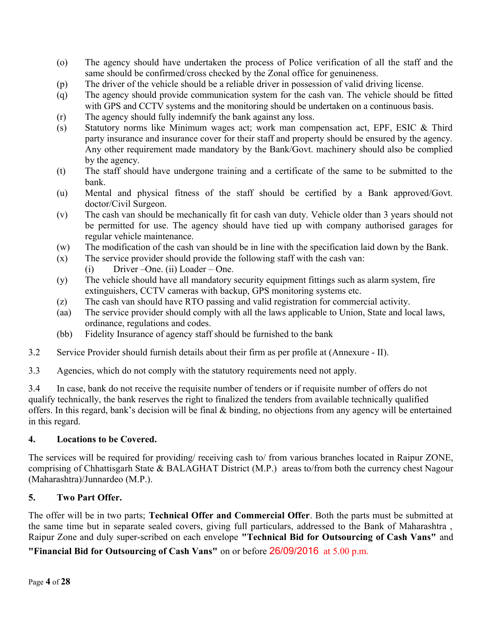- (o) The agency should have undertaken the process of Police verification of all the staff and the same should be confirmed/cross checked by the Zonal office for genuineness.
- (p) The driver of the vehicle should be a reliable driver in possession of valid driving license.
- (q) The agency should provide communication system for the cash van. The vehicle should be fitted with GPS and CCTV systems and the monitoring should be undertaken on a continuous basis.
- (r) The agency should fully indemnify the bank against any loss.
- (s) Statutory norms like Minimum wages act; work man compensation act, EPF, ESIC & Third party insurance and insurance cover for their staff and property should be ensured by the agency. Any other requirement made mandatory by the Bank/Govt. machinery should also be complied by the agency.
- (t) The staff should have undergone training and a certificate of the same to be submitted to the bank.
- (u) Mental and physical fitness of the staff should be certified by a Bank approved/Govt. doctor/Civil Surgeon.
- (v) The cash van should be mechanically fit for cash van duty. Vehicle older than 3 years should not be permitted for use. The agency should have tied up with company authorised garages for regular vehicle maintenance.
- (w) The modification of the cash van should be in line with the specification laid down by the Bank.
- (x) The service provider should provide the following staff with the cash van:
	- (i) Driver –One. (ii) Loader One.
- (y) The vehicle should have all mandatory security equipment fittings such as alarm system, fire extinguishers, CCTV cameras with backup, GPS monitoring systems etc.
- (z) The cash van should have RTO passing and valid registration for commercial activity.
- (aa) The service provider should comply with all the laws applicable to Union, State and local laws, ordinance, regulations and codes.
- (bb) Fidelity Insurance of agency staff should be furnished to the bank
- 3.2 Service Provider should furnish details about their firm as per profile at (Annexure II).
- 3.3 Agencies, which do not comply with the statutory requirements need not apply.

3.4 In case, bank do not receive the requisite number of tenders or if requisite number of offers do not qualify technically, the bank reserves the right to finalized the tenders from available technically qualified offers. In this regard, bank's decision will be final & binding, no objections from any agency will be entertained in this regard.

### **4. Locations to be Covered.**

The services will be required for providing/ receiving cash to/ from various branches located in Raipur ZONE, comprising of Chhattisgarh State & BALAGHAT District (M.P.) areas to/from both the currency chest Nagour (Maharashtra)/Junnardeo (M.P.).

### **5. Two Part Offer.**

The offer will be in two parts; **Technical Offer and Commercial Offer**. Both the parts must be submitted at the same time but in separate sealed covers, giving full particulars, addressed to the Bank of Maharashtra , Raipur Zone and duly super-scribed on each envelope **"Technical Bid for Outsourcing of Cash Vans"** and

**"Financial Bid for Outsourcing of Cash Vans"** on or before 26/09/2016 at 5.00 p.m.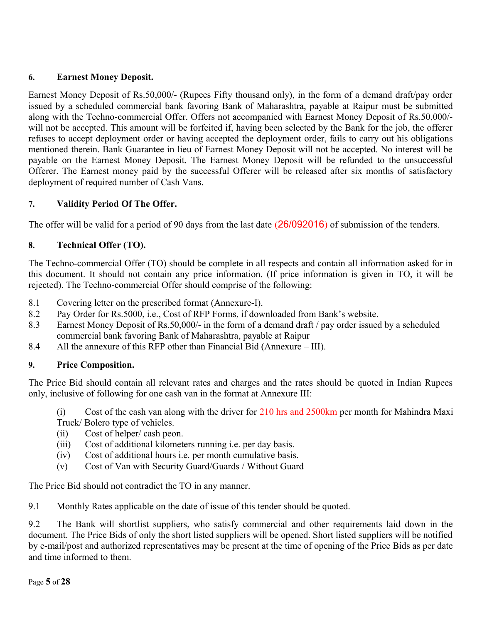# **6. Earnest Money Deposit.**

Earnest Money Deposit of Rs.50,000/- (Rupees Fifty thousand only), in the form of a demand draft/pay order issued by a scheduled commercial bank favoring Bank of Maharashtra, payable at Raipur must be submitted along with the Techno-commercial Offer. Offers not accompanied with Earnest Money Deposit of Rs.50,000/ will not be accepted. This amount will be forfeited if, having been selected by the Bank for the job, the offerer refuses to accept deployment order or having accepted the deployment order, fails to carry out his obligations mentioned therein. Bank Guarantee in lieu of Earnest Money Deposit will not be accepted. No interest will be payable on the Earnest Money Deposit. The Earnest Money Deposit will be refunded to the unsuccessful Offerer. The Earnest money paid by the successful Offerer will be released after six months of satisfactory deployment of required number of Cash Vans.

# **7. Validity Period Of The Offer.**

The offer will be valid for a period of 90 days from the last date (26/092016) of submission of the tenders.

# **8. Technical Offer (TO).**

The Techno-commercial Offer (TO) should be complete in all respects and contain all information asked for in this document. It should not contain any price information. (If price information is given in TO, it will be rejected). The Techno-commercial Offer should comprise of the following:

- 8.1 Covering letter on the prescribed format (Annexure-I).
- 8.2 Pay Order for Rs.5000, i.e., Cost of RFP Forms, if downloaded from Bank's website.
- 8.3 Earnest Money Deposit of Rs.50,000/- in the form of a demand draft / pay order issued by a scheduled commercial bank favoring Bank of Maharashtra, payable at Raipur
- 8.4 All the annexure of this RFP other than Financial Bid (Annexure III).

# **9. Price Composition.**

The Price Bid should contain all relevant rates and charges and the rates should be quoted in Indian Rupees only, inclusive of following for one cash van in the format at Annexure III:

(i) Cost of the cash van along with the driver for 210 hrs and 2500km per month for Mahindra Maxi Truck/ Bolero type of vehicles.

- (ii) Cost of helper/ cash peon.
- (iii) Cost of additional kilometers running i.e. per day basis.
- (iv) Cost of additional hours i.e. per month cumulative basis.
- (v) Cost of Van with Security Guard/Guards / Without Guard

The Price Bid should not contradict the TO in any manner.

9.1 Monthly Rates applicable on the date of issue of this tender should be quoted.

9.2 The Bank will shortlist suppliers, who satisfy commercial and other requirements laid down in the document. The Price Bids of only the short listed suppliers will be opened. Short listed suppliers will be notified by e-mail/post and authorized representatives may be present at the time of opening of the Price Bids as per date and time informed to them.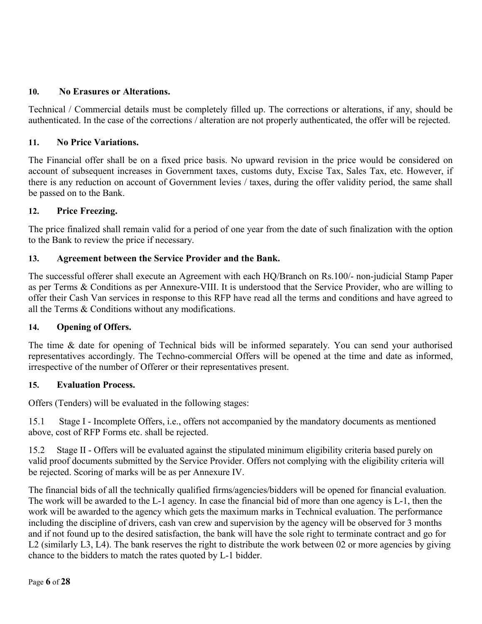# **10. No Erasures or Alterations.**

Technical / Commercial details must be completely filled up. The corrections or alterations, if any, should be authenticated. In the case of the corrections / alteration are not properly authenticated, the offer will be rejected.

### **11. No Price Variations.**

The Financial offer shall be on a fixed price basis. No upward revision in the price would be considered on account of subsequent increases in Government taxes, customs duty, Excise Tax, Sales Tax, etc. However, if there is any reduction on account of Government levies / taxes, during the offer validity period, the same shall be passed on to the Bank.

# **12. Price Freezing.**

The price finalized shall remain valid for a period of one year from the date of such finalization with the option to the Bank to review the price if necessary.

# **13. Agreement between the Service Provider and the Bank.**

The successful offerer shall execute an Agreement with each HQ/Branch on Rs.100/- non-judicial Stamp Paper as per Terms & Conditions as per Annexure-VIII. It is understood that the Service Provider, who are willing to offer their Cash Van services in response to this RFP have read all the terms and conditions and have agreed to all the Terms & Conditions without any modifications.

### **14. Opening of Offers.**

The time & date for opening of Technical bids will be informed separately. You can send your authorised representatives accordingly. The Techno-commercial Offers will be opened at the time and date as informed, irrespective of the number of Offerer or their representatives present.

### **15. Evaluation Process.**

Offers (Tenders) will be evaluated in the following stages:

15.1 Stage I - Incomplete Offers, i.e., offers not accompanied by the mandatory documents as mentioned above, cost of RFP Forms etc. shall be rejected.

15.2 Stage II - Offers will be evaluated against the stipulated minimum eligibility criteria based purely on valid proof documents submitted by the Service Provider. Offers not complying with the eligibility criteria will be rejected. Scoring of marks will be as per Annexure IV.

The financial bids of all the technically qualified firms/agencies/bidders will be opened for financial evaluation. The work will be awarded to the L-1 agency. In case the financial bid of more than one agency is L-1, then the work will be awarded to the agency which gets the maximum marks in Technical evaluation. The performance including the discipline of drivers, cash van crew and supervision by the agency will be observed for 3 months and if not found up to the desired satisfaction, the bank will have the sole right to terminate contract and go for L2 (similarly L3, L4). The bank reserves the right to distribute the work between 02 or more agencies by giving chance to the bidders to match the rates quoted by L-1 bidder.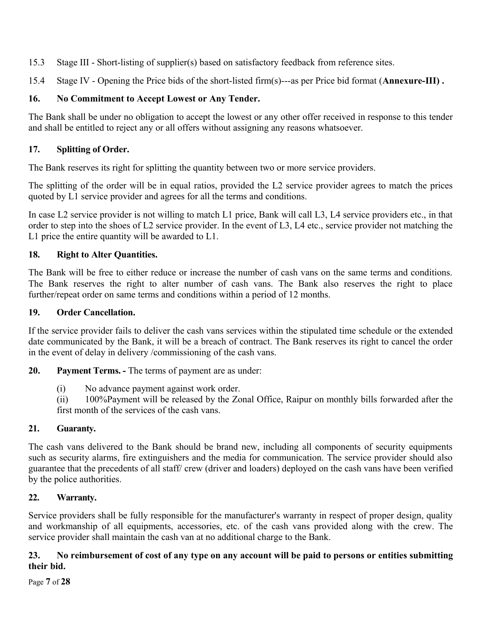- 15.3 Stage III Short-listing of supplier(s) based on satisfactory feedback from reference sites.
- 15.4 Stage IV Opening the Price bids of the short-listed firm(s)---as per Price bid format (**Annexure-III) .**

# **16. No Commitment to Accept Lowest or Any Tender.**

The Bank shall be under no obligation to accept the lowest or any other offer received in response to this tender and shall be entitled to reject any or all offers without assigning any reasons whatsoever.

# **17. Splitting of Order.**

The Bank reserves its right for splitting the quantity between two or more service providers.

The splitting of the order will be in equal ratios, provided the L2 service provider agrees to match the prices quoted by L1 service provider and agrees for all the terms and conditions.

In case L2 service provider is not willing to match L1 price, Bank will call L3, L4 service providers etc., in that order to step into the shoes of L2 service provider. In the event of L3, L4 etc., service provider not matching the L1 price the entire quantity will be awarded to L1.

# **18. Right to Alter Quantities.**

The Bank will be free to either reduce or increase the number of cash vans on the same terms and conditions. The Bank reserves the right to alter number of cash vans. The Bank also reserves the right to place further/repeat order on same terms and conditions within a period of 12 months.

# **19. Order Cancellation.**

If the service provider fails to deliver the cash vans services within the stipulated time schedule or the extended date communicated by the Bank, it will be a breach of contract. The Bank reserves its right to cancel the order in the event of delay in delivery /commissioning of the cash vans.

**20. Payment Terms. -** The terms of payment are as under:

(i) No advance payment against work order.

(ii) 100%Payment will be released by the Zonal Office, Raipur on monthly bills forwarded after the first month of the services of the cash vans.

# **21. Guaranty.**

The cash vans delivered to the Bank should be brand new, including all components of security equipments such as security alarms, fire extinguishers and the media for communication. The service provider should also guarantee that the precedents of all staff/ crew (driver and loaders) deployed on the cash vans have been verified by the police authorities.

# **22. Warranty.**

Service providers shall be fully responsible for the manufacturer's warranty in respect of proper design, quality and workmanship of all equipments, accessories, etc. of the cash vans provided along with the crew. The service provider shall maintain the cash van at no additional charge to the Bank.

### **23. No reimbursement of cost of any type on any account will be paid to persons or entities submitting their bid.**

Page **7** of **28**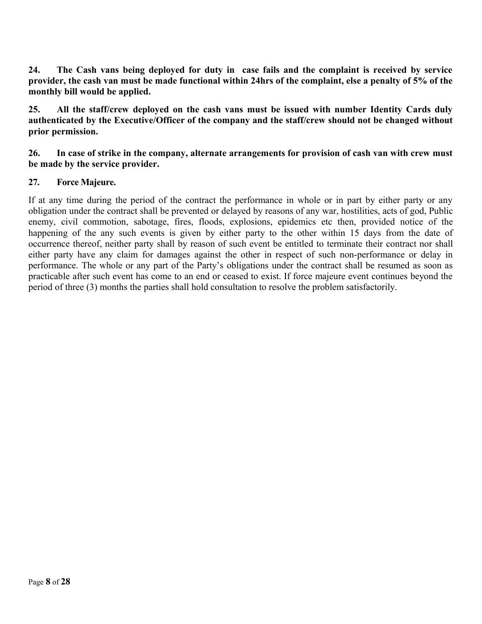**24. The Cash vans being deployed for duty in case fails and the complaint is received by service provider, the cash van must be made functional within 24hrs of the complaint, else a penalty of 5% of the monthly bill would be applied.**

**25. All the staff/crew deployed on the cash vans must be issued with number Identity Cards duly authenticated by the Executive/Officer of the company and the staff/crew should not be changed without prior permission.**

### **26. In case of strike in the company, alternate arrangements for provision of cash van with crew must be made by the service provider.**

# **27. Force Majeure.**

If at any time during the period of the contract the performance in whole or in part by either party or any obligation under the contract shall be prevented or delayed by reasons of any war, hostilities, acts of god, Public enemy, civil commotion, sabotage, fires, floods, explosions, epidemics etc then, provided notice of the happening of the any such events is given by either party to the other within 15 days from the date of occurrence thereof, neither party shall by reason of such event be entitled to terminate their contract nor shall either party have any claim for damages against the other in respect of such non-performance or delay in performance. The whole or any part of the Party's obligations under the contract shall be resumed as soon as practicable after such event has come to an end or ceased to exist. If force majeure event continues beyond the period of three (3) months the parties shall hold consultation to resolve the problem satisfactorily.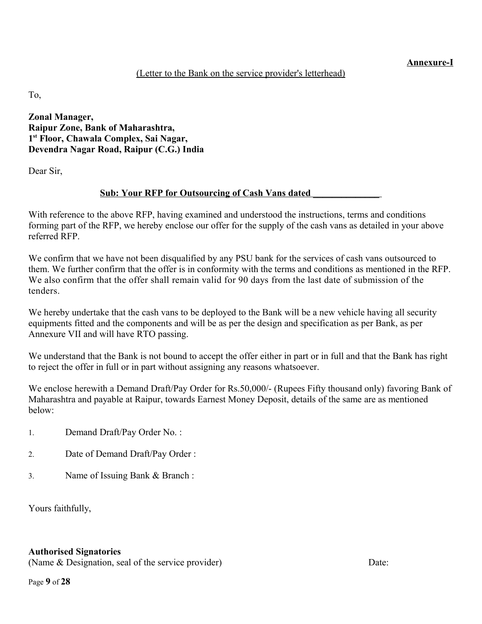#### **Annexure-I**

### (Letter to the Bank on the service provider's letterhead)

To,

**Zonal Manager, Raipur Zone, Bank of Maharashtra, 1 st Floor, Chawala Complex, Sai Nagar, Devendra Nagar Road, Raipur (C.G.) India**

Dear Sir,

### **<u>Sub: Your RFP for Outsourcing of Cash Vans dated</u>**

With reference to the above RFP, having examined and understood the instructions, terms and conditions forming part of the RFP, we hereby enclose our offer for the supply of the cash vans as detailed in your above referred RFP.

We confirm that we have not been disqualified by any PSU bank for the services of cash vans outsourced to them. We further confirm that the offer is in conformity with the terms and conditions as mentioned in the RFP. We also confirm that the offer shall remain valid for 90 days from the last date of submission of the tenders.

We hereby undertake that the cash vans to be deployed to the Bank will be a new vehicle having all security equipments fitted and the components and will be as per the design and specification as per Bank, as per Annexure VII and will have RTO passing.

We understand that the Bank is not bound to accept the offer either in part or in full and that the Bank has right to reject the offer in full or in part without assigning any reasons whatsoever.

We enclose herewith a Demand Draft/Pay Order for Rs.50,000/- (Rupees Fifty thousand only) favoring Bank of Maharashtra and payable at Raipur, towards Earnest Money Deposit, details of the same are as mentioned below:

- 1. Demand Draft/Pay Order No. :
- 2. Date of Demand Draft/Pay Order :
- 3. Name of Issuing Bank & Branch :

Yours faithfully,

### **Authorised Signatories**

(Name & Designation, seal of the service provider) Date: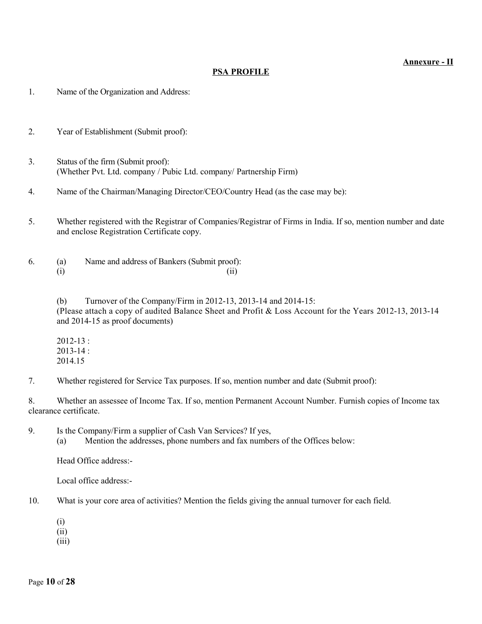#### **Annexure - II**

#### **PSA PROFILE**

1. Name of the Organization and Address:

- 2. Year of Establishment (Submit proof):
- 3. Status of the firm (Submit proof): (Whether Pvt. Ltd. company / Pubic Ltd. company/ Partnership Firm)
- 4. Name of the Chairman/Managing Director/CEO/Country Head (as the case may be):
- 5. Whether registered with the Registrar of Companies/Registrar of Firms in India. If so, mention number and date and enclose Registration Certificate copy.

6. (a) Name and address of Bankers (Submit proof):  $(i)$  (ii)

> (b) Turnover of the Company/Firm in 2012-13, 2013-14 and 2014-15: (Please attach a copy of audited Balance Sheet and Profit & Loss Account for the Years 2012-13, 2013-14 and 2014-15 as proof documents)

2012-13 : 2013-14 : 2014.15

7. Whether registered for Service Tax purposes. If so, mention number and date (Submit proof):

8. Whether an assessee of Income Tax. If so, mention Permanent Account Number. Furnish copies of Income tax clearance certificate.

9. Is the Company/Firm a supplier of Cash Van Services? If yes, (a) Mention the addresses, phone numbers and fax numbers of the Offices below:

Head Office address:-

Local office address:-

- 10. What is your core area of activities? Mention the fields giving the annual turnover for each field.
	- (i)
	- (ii)
	- (iii)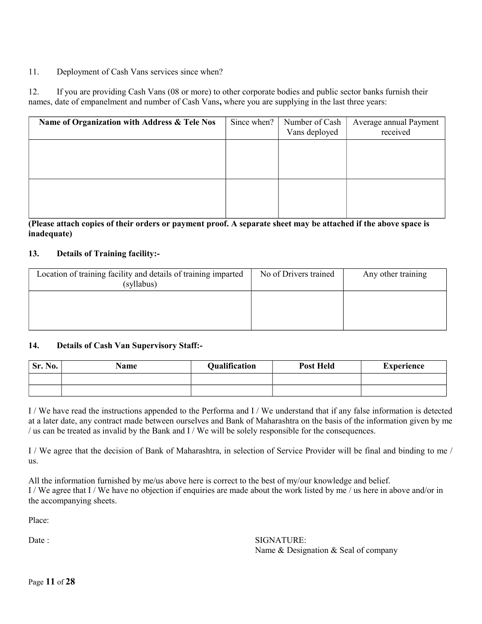### 11. Deployment of Cash Vans services since when?

12. If you are providing Cash Vans (08 or more) to other corporate bodies and public sector banks furnish their names, date of empanelment and number of Cash Vans**,** where you are supplying in the last three years:

| Name of Organization with Address & Tele Nos | Since when? | Number of Cash<br>Vans deployed | Average annual Payment<br>received |
|----------------------------------------------|-------------|---------------------------------|------------------------------------|
|                                              |             |                                 |                                    |
|                                              |             |                                 |                                    |
|                                              |             |                                 |                                    |
|                                              |             |                                 |                                    |

**(Please attach copies of their orders or payment proof. A separate sheet may be attached if the above space is inadequate)**

#### **13. Details of Training facility:-**

| Location of training facility and details of training imparted<br>(syllabus) | No of Drivers trained | Any other training |
|------------------------------------------------------------------------------|-----------------------|--------------------|
|                                                                              |                       |                    |
|                                                                              |                       |                    |

#### **14. Details of Cash Van Supervisory Staff:-**

| Sr. No. | <b>Name</b> | <b>Qualification</b> | <b>Post Held</b> | <b>Experience</b> |
|---------|-------------|----------------------|------------------|-------------------|
|         |             |                      |                  |                   |
|         |             |                      |                  |                   |

I / We have read the instructions appended to the Performa and I / We understand that if any false information is detected at a later date, any contract made between ourselves and Bank of Maharashtra on the basis of the information given by me / us can be treated as invalid by the Bank and I / We will be solely responsible for the consequences.

I / We agree that the decision of Bank of Maharashtra, in selection of Service Provider will be final and binding to me / us.

All the information furnished by me/us above here is correct to the best of my/our knowledge and belief. I / We agree that I / We have no objection if enquiries are made about the work listed by me / us here in above and/or in the accompanying sheets.

Place:

Date : SIGNATURE: Name & Designation & Seal of company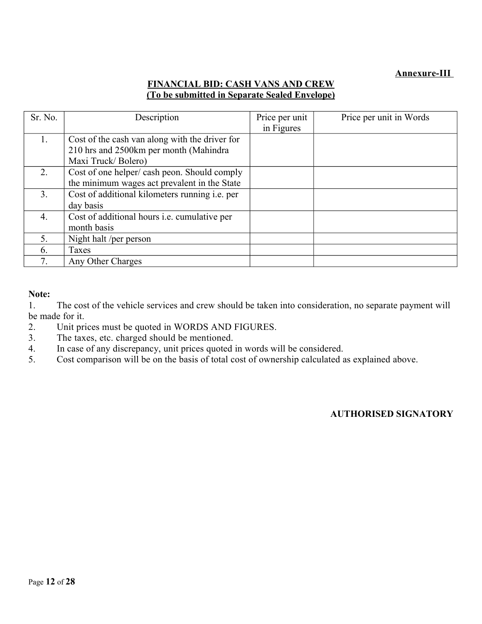# **Annexure-III**

# **FINANCIAL BID: CASH VANS AND CREW (To be submitted in Separate Sealed Envelope)**

| Sr. No.        | Description                                           | Price per unit | Price per unit in Words |
|----------------|-------------------------------------------------------|----------------|-------------------------|
|                |                                                       | in Figures     |                         |
|                | Cost of the cash van along with the driver for        |                |                         |
|                | 210 hrs and 2500km per month (Mahindra)               |                |                         |
|                | Maxi Truck/Bolero)                                    |                |                         |
| $\overline{2}$ | Cost of one helper/cash peon. Should comply           |                |                         |
|                | the minimum wages act prevalent in the State          |                |                         |
| 3.             | Cost of additional kilometers running <i>i.e.</i> per |                |                         |
|                | day basis                                             |                |                         |
| 4.             | Cost of additional hours <i>i.e.</i> cumulative per   |                |                         |
|                | month basis                                           |                |                         |
| 5.             | Night halt /per person                                |                |                         |
| 6.             | Taxes                                                 |                |                         |
| 7.             | Any Other Charges                                     |                |                         |

### **Note:**

1. The cost of the vehicle services and crew should be taken into consideration, no separate payment will be made for it.

- 2. Unit prices must be quoted in WORDS AND FIGURES.
- 3. The taxes, etc. charged should be mentioned.
- 4. In case of any discrepancy, unit prices quoted in words will be considered.
- 5. Cost comparison will be on the basis of total cost of ownership calculated as explained above.

#### **AUTHORISED SIGNATORY**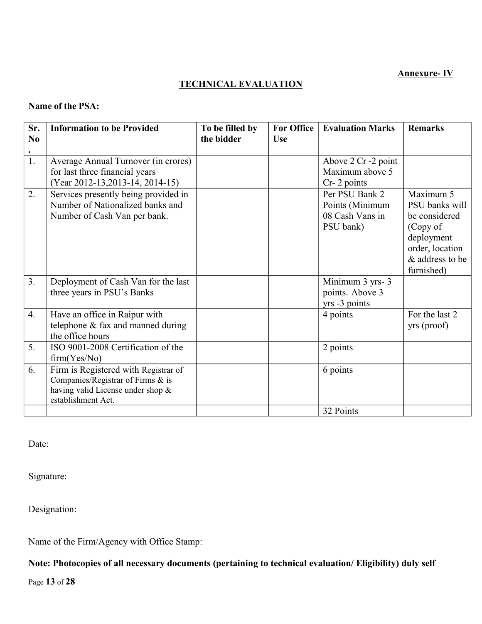### **Annexure- IV**

# **TECHNICAL EVALUATION**

### **Name of the PSA:**

| Sr.<br>N <sub>0</sub><br>$\bullet$ | <b>Information to be Provided</b>                                                                                                    | To be filled by<br>the bidder | <b>For Office</b><br><b>Use</b> | <b>Evaluation Marks</b>                                           | <b>Remarks</b>                                                                                                             |
|------------------------------------|--------------------------------------------------------------------------------------------------------------------------------------|-------------------------------|---------------------------------|-------------------------------------------------------------------|----------------------------------------------------------------------------------------------------------------------------|
| 1.                                 | Average Annual Turnover (in crores)<br>for last three financial years<br>(Year 2012-13, 2013-14, 2014-15)                            |                               |                                 | Above 2 Cr -2 point<br>Maximum above 5<br>Cr-2 points             |                                                                                                                            |
| 2.                                 | Services presently being provided in<br>Number of Nationalized banks and<br>Number of Cash Van per bank.                             |                               |                                 | Per PSU Bank 2<br>Points (Minimum<br>08 Cash Vans in<br>PSU bank) | Maximum 5<br>PSU banks will<br>be considered<br>(Copy of<br>deployment<br>order, location<br>& address to be<br>furnished) |
| 3 <sub>1</sub>                     | Deployment of Cash Van for the last<br>three years in PSU's Banks                                                                    |                               |                                 | Minimum 3 yrs- 3<br>points. Above 3<br>yrs -3 points              |                                                                                                                            |
| $\overline{4}$ .                   | Have an office in Raipur with<br>telephone & fax and manned during<br>the office hours                                               |                               |                                 | 4 points                                                          | For the last 2<br>yrs (proof)                                                                                              |
| 5.                                 | ISO 9001-2008 Certification of the<br>firm(Yes/No)                                                                                   |                               |                                 | 2 points                                                          |                                                                                                                            |
| 6.                                 | Firm is Registered with Registrar of<br>Companies/Registrar of Firms & is<br>having valid License under shop &<br>establishment Act. |                               |                                 | 6 points                                                          |                                                                                                                            |
|                                    |                                                                                                                                      |                               |                                 | 32 Points                                                         |                                                                                                                            |

Date:

Signature:

Designation:

Name of the Firm/Agency with Office Stamp:

**Note: Photocopies of all necessary documents (pertaining to technical evaluation/ Eligibility) duly self** 

Page **13** of **28**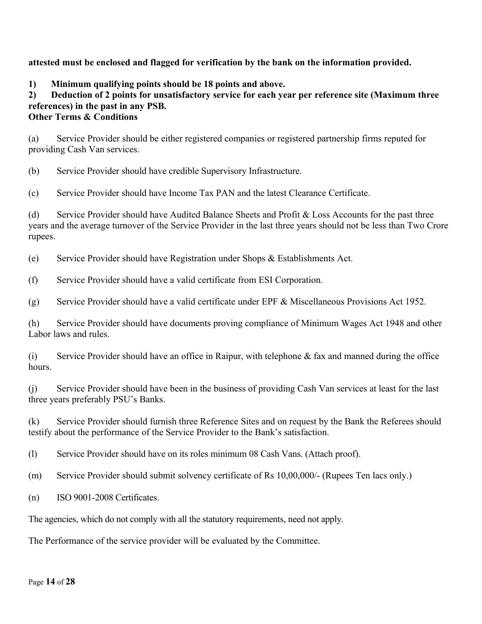### **attested must be enclosed and flagged for verification by the bank on the information provided.**

**1) Minimum qualifying points should be 18 points and above.**

# **2) Deduction of 2 points for unsatisfactory service for each year per reference site (Maximum three references) in the past in any PSB.**

### **Other Terms & Conditions**

(a) Service Provider should be either registered companies or registered partnership firms reputed for providing Cash Van services.

(b) Service Provider should have credible Supervisory Infrastructure.

(c) Service Provider should have Income Tax PAN and the latest Clearance Certificate.

(d) Service Provider should have Audited Balance Sheets and Profit & Loss Accounts for the past three years and the average turnover of the Service Provider in the last three years should not be less than Two Crore rupees.

(e) Service Provider should have Registration under Shops & Establishments Act.

(f) Service Provider should have a valid certificate from ESI Corporation.

(g) Service Provider should have a valid certificate under EPF & Miscellaneous Provisions Act 1952.

(h) Service Provider should have documents proving compliance of Minimum Wages Act 1948 and other Labor laws and rules.

(i) Service Provider should have an office in Raipur, with telephone  $\&$  fax and manned during the office hours.

(j) Service Provider should have been in the business of providing Cash Van services at least for the last three years preferably PSU's Banks.

(k) Service Provider should furnish three Reference Sites and on request by the Bank the Referees should testify about the performance of the Service Provider to the Bank's satisfaction.

(l) Service Provider should have on its roles minimum 08 Cash Vans. (Attach proof).

(m) Service Provider should submit solvency certificate of Rs 10,00,000/- (Rupees Ten lacs only.)

(n) ISO 9001-2008 Certificates.

The agencies, which do not comply with all the statutory requirements, need not apply.

The Performance of the service provider will be evaluated by the Committee.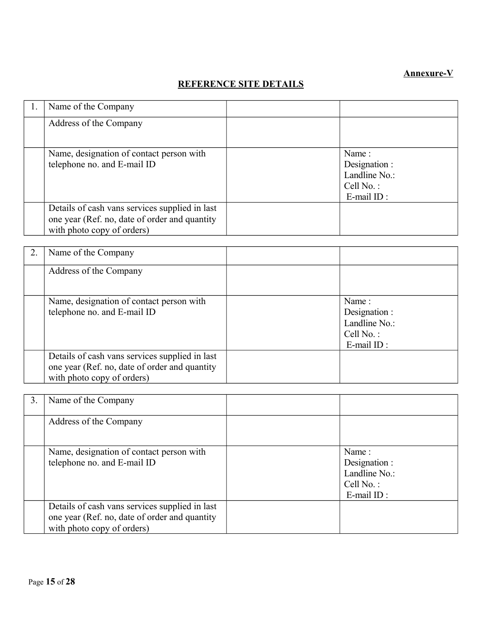# **Annexure-V**

# **REFERENCE SITE DETAILS**

| 1. | Name of the Company                                                                                                           |                                                                        |
|----|-------------------------------------------------------------------------------------------------------------------------------|------------------------------------------------------------------------|
|    | Address of the Company                                                                                                        |                                                                        |
|    | Name, designation of contact person with<br>telephone no. and E-mail ID                                                       | Name:<br>Designation :<br>Landline No.:<br>Cell No.:<br>$E$ -mail ID : |
|    | Details of cash vans services supplied in last<br>one year (Ref. no, date of order and quantity<br>with photo copy of orders) |                                                                        |

| Name of the Company                                                                                                           |                                                                             |
|-------------------------------------------------------------------------------------------------------------------------------|-----------------------------------------------------------------------------|
| Address of the Company                                                                                                        |                                                                             |
| Name, designation of contact person with<br>telephone no. and E-mail ID                                                       | Name:<br>Designation :<br>Landline No.:<br>Cell $No.$ :<br>$E$ -mail $ID$ : |
| Details of cash vans services supplied in last<br>one year (Ref. no, date of order and quantity<br>with photo copy of orders) |                                                                             |

| 3. | Name of the Company                                                                                                           |                                                                           |
|----|-------------------------------------------------------------------------------------------------------------------------------|---------------------------------------------------------------------------|
|    | Address of the Company                                                                                                        |                                                                           |
|    | Name, designation of contact person with<br>telephone no. and E-mail ID                                                       | Name:<br>Designation :<br>Landline No.:<br>Cell $No.$ :<br>$E$ -mail ID : |
|    | Details of cash vans services supplied in last<br>one year (Ref. no, date of order and quantity<br>with photo copy of orders) |                                                                           |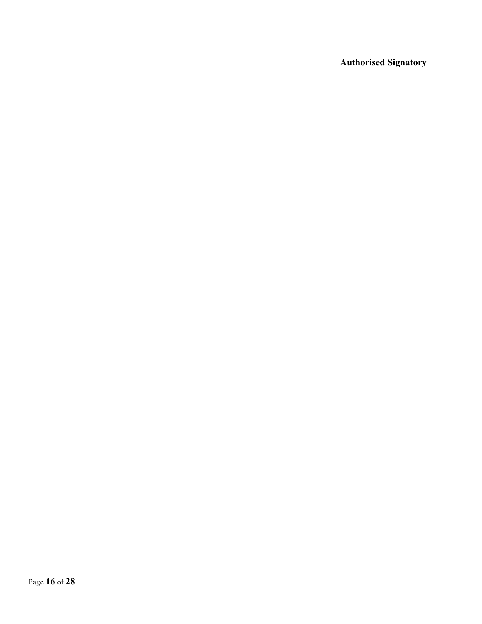**Authorised Signatory**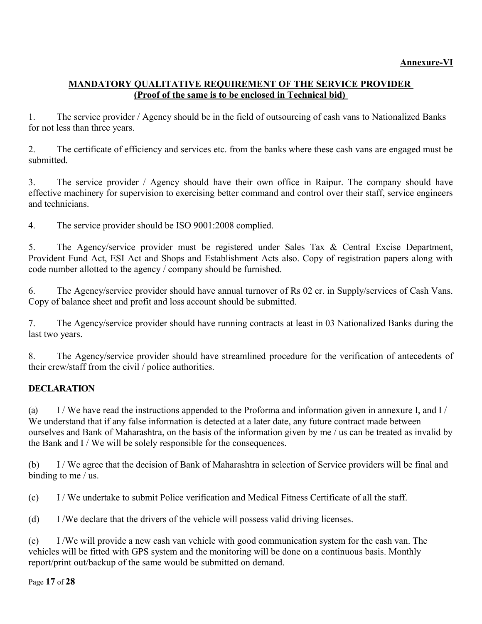# **MANDATORY QUALITATIVE REQUIREMENT OF THE SERVICE PROVIDER (Proof of the same is to be enclosed in Technical bid)**

1. The service provider / Agency should be in the field of outsourcing of cash vans to Nationalized Banks for not less than three years.

2. The certificate of efficiency and services etc. from the banks where these cash vans are engaged must be submitted.

3. The service provider / Agency should have their own office in Raipur. The company should have effective machinery for supervision to exercising better command and control over their staff, service engineers and technicians.

4. The service provider should be ISO 9001:2008 complied.

5. The Agency/service provider must be registered under Sales Tax & Central Excise Department, Provident Fund Act, ESI Act and Shops and Establishment Acts also. Copy of registration papers along with code number allotted to the agency / company should be furnished.

6. The Agency/service provider should have annual turnover of Rs 02 cr. in Supply/services of Cash Vans. Copy of balance sheet and profit and loss account should be submitted.

7. The Agency/service provider should have running contracts at least in 03 Nationalized Banks during the last two years.

8. The Agency/service provider should have streamlined procedure for the verification of antecedents of their crew/staff from the civil / police authorities.

# **DECLARATION**

(a) I / We have read the instructions appended to the Proforma and information given in annexure I, and I / We understand that if any false information is detected at a later date, any future contract made between ourselves and Bank of Maharashtra, on the basis of the information given by me / us can be treated as invalid by the Bank and I / We will be solely responsible for the consequences.

(b) I / We agree that the decision of Bank of Maharashtra in selection of Service providers will be final and binding to me / us.

(c) I / We undertake to submit Police verification and Medical Fitness Certificate of all the staff.

(d) I /We declare that the drivers of the vehicle will possess valid driving licenses.

(e) I /We will provide a new cash van vehicle with good communication system for the cash van. The vehicles will be fitted with GPS system and the monitoring will be done on a continuous basis. Monthly report/print out/backup of the same would be submitted on demand.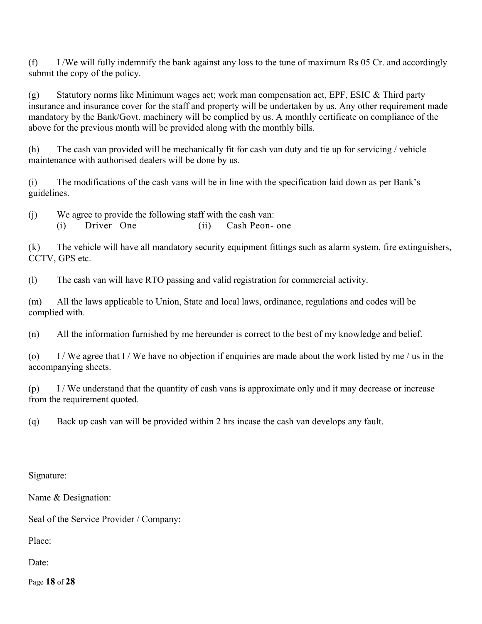(f) I /We will fully indemnify the bank against any loss to the tune of maximum Rs 05 Cr. and accordingly submit the copy of the policy.

(g) Statutory norms like Minimum wages act; work man compensation act, EPF, ESIC & Third party insurance and insurance cover for the staff and property will be undertaken by us. Any other requirement made mandatory by the Bank/Govt. machinery will be complied by us. A monthly certificate on compliance of the above for the previous month will be provided along with the monthly bills.

(h) The cash van provided will be mechanically fit for cash van duty and tie up for servicing / vehicle maintenance with authorised dealers will be done by us.

(i) The modifications of the cash vans will be in line with the specification laid down as per Bank's guidelines.

(j) We agree to provide the following staff with the cash van:

(i) Driver –One (ii) Cash Peon- one

(k) The vehicle will have all mandatory security equipment fittings such as alarm system, fire extinguishers, CCTV, GPS etc.

(l) The cash van will have RTO passing and valid registration for commercial activity.

(m) All the laws applicable to Union, State and local laws, ordinance, regulations and codes will be complied with.

(n) All the information furnished by me hereunder is correct to the best of my knowledge and belief.

(o) I / We agree that I / We have no objection if enquiries are made about the work listed by me / us in the accompanying sheets.

(p) I / We understand that the quantity of cash vans is approximate only and it may decrease or increase from the requirement quoted.

(q) Back up cash van will be provided within 2 hrs incase the cash van develops any fault.

Signature:

Name & Designation:

Seal of the Service Provider / Company:

Place:

Date:

Page **18** of **28**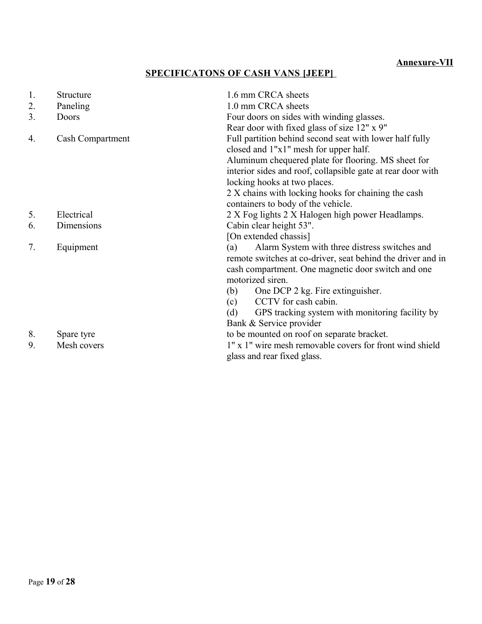# **SPECIFICATONS OF CASH VANS [JEEP]**

| 1. | Structure        | 1.6 mm CRCA sheets                                                                      |
|----|------------------|-----------------------------------------------------------------------------------------|
| 2. | Paneling         | 1.0 mm CRCA sheets                                                                      |
| 3. | Doors            | Four doors on sides with winding glasses.                                               |
|    |                  | Rear door with fixed glass of size 12" x 9"                                             |
| 4. | Cash Compartment | Full partition behind second seat with lower half fully                                 |
|    |                  | closed and 1"x1" mesh for upper half.                                                   |
|    |                  | Aluminum chequered plate for flooring. MS sheet for                                     |
|    |                  | interior sides and roof, collapsible gate at rear door with                             |
|    |                  | locking hooks at two places.                                                            |
|    |                  | 2 X chains with locking hooks for chaining the cash                                     |
|    |                  | containers to body of the vehicle.                                                      |
| 5. | Electrical       | 2 X Fog lights 2 X Halogen high power Headlamps.                                        |
| 6. | Dimensions       | Cabin clear height 53".                                                                 |
|    |                  | [On extended chassis]                                                                   |
| 7. | Equipment        | Alarm System with three distress switches and<br>(a)                                    |
|    |                  | remote switches at co-driver, seat behind the driver and in                             |
|    |                  | cash compartment. One magnetic door switch and one                                      |
|    |                  | motorized siren.                                                                        |
|    |                  | One DCP 2 kg. Fire extinguisher.<br>(b)                                                 |
|    |                  | CCTV for cash cabin.<br>(c)                                                             |
|    |                  | GPS tracking system with monitoring facility by<br>(d)                                  |
|    |                  | Bank & Service provider                                                                 |
| 8. | Spare tyre       | to be mounted on roof on separate bracket.                                              |
| 9. | Mesh covers      | 1" x 1" wire mesh removable covers for front wind shield<br>glass and rear fixed glass. |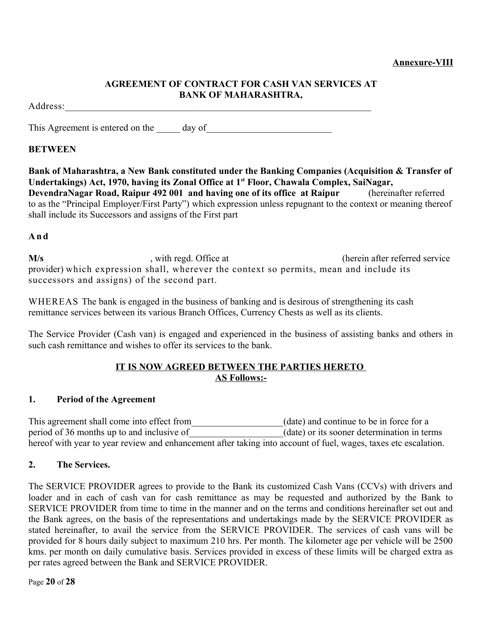#### **Annexure-VIII**

### **AGREEMENT OF CONTRACT FOR CASH VAN SERVICES AT BANK OF MAHARASHTRA,**

Address:\_\_\_\_\_\_\_\_\_\_\_\_\_\_\_\_\_\_\_\_\_\_\_\_\_\_\_\_\_\_\_\_\_\_\_\_\_\_\_\_\_\_\_\_\_\_\_\_\_\_\_\_\_\_\_\_\_\_\_\_\_\_\_\_\_

This Agreement is entered on the \_\_\_\_\_\_ day of \_\_\_\_\_\_\_\_\_\_\_\_\_\_\_\_\_\_\_\_\_\_\_\_\_\_\_\_\_\_\_\_\_

# **BETWEEN**

**Bank of Maharashtra, a New Bank constituted under the Banking Companies (Acquisition & Transfer of Undertakings) Act, 1970, having its Zonal Office at 1st Floor, Chawala Complex, SaiNagar, DevendraNagar Road, Raipur 492 001 and having one of its office at Raipur** (hereinafter referred to as the "Principal Employer/First Party") which expression unless repugnant to the context or meaning thereof shall include its Successors and assigns of the First part

# **A n d**

**M/s** , with regd. Office at (herein after referred service provider) which expression shall, wherever the context so permits, mean and include its successors and assigns) of the second part.

WHEREAS The bank is engaged in the business of banking and is desirous of strengthening its cash remittance services between its various Branch Offices, Currency Chests as well as its clients.

The Service Provider (Cash van) is engaged and experienced in the business of assisting banks and others in such cash remittance and wishes to offer its services to the bank.

# **IT IS NOW AGREED BETWEEN THE PARTIES HERETO AS Follows:-**

### **1. Period of the Agreement**

This agreement shall come into effect from \_\_\_\_\_\_\_\_\_\_\_\_\_\_(date) and continue to be in force for a period of 36 months up to and inclusive of \_\_\_\_\_\_\_\_\_\_\_\_\_\_\_\_(date) or its sooner determination in terms hereof with year to year review and enhancement after taking into account of fuel, wages, taxes etc escalation.

### **2. The Services.**

The SERVICE PROVIDER agrees to provide to the Bank its customized Cash Vans (CCVs) with drivers and loader and in each of cash van for cash remittance as may be requested and authorized by the Bank to SERVICE PROVIDER from time to time in the manner and on the terms and conditions hereinafter set out and the Bank agrees, on the basis of the representations and undertakings made by the SERVICE PROVIDER as stated hereinafter, to avail the service from the SERVICE PROVIDER. The services of cash vans will be provided for 8 hours daily subject to maximum 210 hrs. Per month. The kilometer age per vehicle will be 2500 kms. per month on daily cumulative basis. Services provided in excess of these limits will be charged extra as per rates agreed between the Bank and SERVICE PROVIDER.

Page **20** of **28**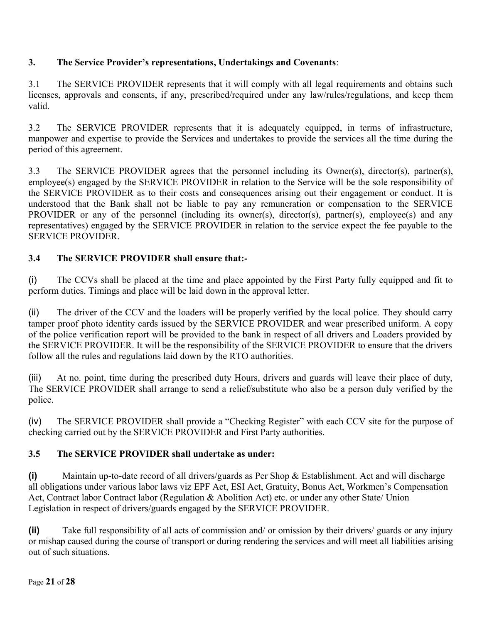# **3. The Service Provider's representations, Undertakings and Covenants**:

3.1 The SERVICE PROVIDER represents that it will comply with all legal requirements and obtains such licenses, approvals and consents, if any, prescribed/required under any law/rules/regulations, and keep them valid.

3.2 The SERVICE PROVIDER represents that it is adequately equipped, in terms of infrastructure, manpower and expertise to provide the Services and undertakes to provide the services all the time during the period of this agreement.

3.3 The SERVICE PROVIDER agrees that the personnel including its Owner(s), director(s), partner(s), employee(s) engaged by the SERVICE PROVIDER in relation to the Service will be the sole responsibility of the SERVICE PROVIDER as to their costs and consequences arising out their engagement or conduct. It is understood that the Bank shall not be liable to pay any remuneration or compensation to the SERVICE PROVIDER or any of the personnel (including its owner(s), director(s), partner(s), employee(s) and any representatives) engaged by the SERVICE PROVIDER in relation to the service expect the fee payable to the SERVICE PROVIDER.

# **3.4 The SERVICE PROVIDER shall ensure that:-**

(i) The CCVs shall be placed at the time and place appointed by the First Party fully equipped and fit to perform duties. Timings and place will be laid down in the approval letter.

(ii) The driver of the CCV and the loaders will be properly verified by the local police. They should carry tamper proof photo identity cards issued by the SERVICE PROVIDER and wear prescribed uniform. A copy of the police verification report will be provided to the bank in respect of all drivers and Loaders provided by the SERVICE PROVIDER. It will be the responsibility of the SERVICE PROVIDER to ensure that the drivers follow all the rules and regulations laid down by the RTO authorities.

(iii) At no. point, time during the prescribed duty Hours, drivers and guards will leave their place of duty, The SERVICE PROVIDER shall arrange to send a relief/substitute who also be a person duly verified by the police.

(iv) The SERVICE PROVIDER shall provide a "Checking Register" with each CCV site for the purpose of checking carried out by the SERVICE PROVIDER and First Party authorities.

# **3.5 The SERVICE PROVIDER shall undertake as under:**

**(i)** Maintain up-to-date record of all drivers/guards as Per Shop & Establishment. Act and will discharge all obligations under various labor laws viz EPF Act, ESI Act, Gratuity, Bonus Act, Workmen's Compensation Act, Contract labor Contract labor (Regulation & Abolition Act) etc. or under any other State/ Union Legislation in respect of drivers/guards engaged by the SERVICE PROVIDER.

**(ii)** Take full responsibility of all acts of commission and/ or omission by their drivers/ guards or any injury or mishap caused during the course of transport or during rendering the services and will meet all liabilities arising out of such situations.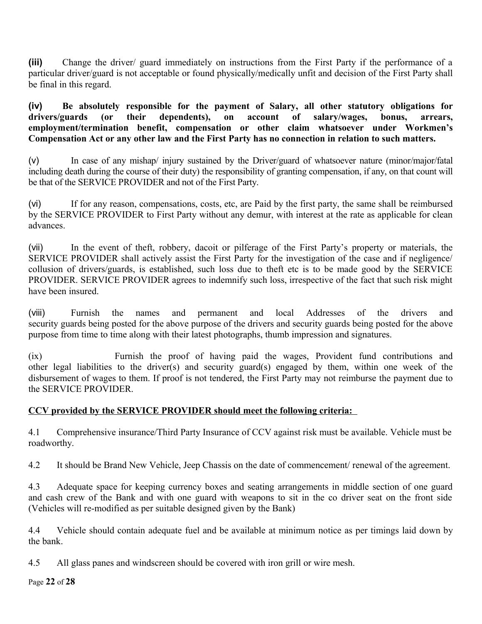**(iii)** Change the driver/ guard immediately on instructions from the First Party if the performance of a particular driver/guard is not acceptable or found physically/medically unfit and decision of the First Party shall be final in this regard.

**(iv) Be absolutely responsible for the payment of Salary, all other statutory obligations for drivers/guards (or their dependents), on account of salary/wages, bonus, arrears, employment/termination benefit, compensation or other claim whatsoever under Workmen's Compensation Act or any other law and the First Party has no connection in relation to such matters.**

(v) In case of any mishap/ injury sustained by the Driver/guard of whatsoever nature (minor/major/fatal including death during the course of their duty) the responsibility of granting compensation, if any, on that count will be that of the SERVICE PROVIDER and not of the First Party.

(vi) If for any reason, compensations, costs, etc, are Paid by the first party, the same shall be reimbursed by the SERVICE PROVIDER to First Party without any demur, with interest at the rate as applicable for clean advances.

(vii) In the event of theft, robbery, dacoit or pilferage of the First Party's property or materials, the SERVICE PROVIDER shall actively assist the First Party for the investigation of the case and if negligence/ collusion of drivers/guards, is established, such loss due to theft etc is to be made good by the SERVICE PROVIDER. SERVICE PROVIDER agrees to indemnify such loss, irrespective of the fact that such risk might have been insured.

(viii) Furnish the names and permanent and local Addresses of the drivers and security guards being posted for the above purpose of the drivers and security guards being posted for the above purpose from time to time along with their latest photographs, thumb impression and signatures.

(ix) Furnish the proof of having paid the wages, Provident fund contributions and other legal liabilities to the driver(s) and security guard(s) engaged by them, within one week of the disbursement of wages to them. If proof is not tendered, the First Party may not reimburse the payment due to the SERVICE PROVIDER.

# **CCV provided by the SERVICE PROVIDER should meet the following criteria:**

4.1 Comprehensive insurance/Third Party Insurance of CCV against risk must be available. Vehicle must be roadworthy.

4.2 It should be Brand New Vehicle, Jeep Chassis on the date of commencement/ renewal of the agreement.

4.3 Adequate space for keeping currency boxes and seating arrangements in middle section of one guard and cash crew of the Bank and with one guard with weapons to sit in the co driver seat on the front side (Vehicles will re-modified as per suitable designed given by the Bank)

4.4 Vehicle should contain adequate fuel and be available at minimum notice as per timings laid down by the bank.

4.5 All glass panes and windscreen should be covered with iron grill or wire mesh.

Page **22** of **28**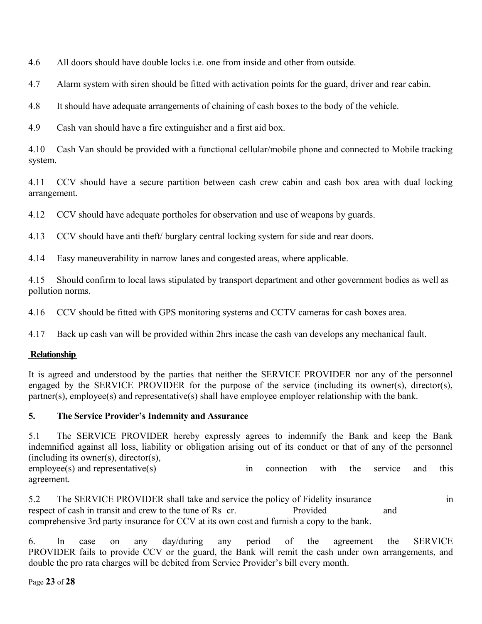4.6 All doors should have double locks i.e. one from inside and other from outside.

4.7 Alarm system with siren should be fitted with activation points for the guard, driver and rear cabin.

4.8 It should have adequate arrangements of chaining of cash boxes to the body of the vehicle.

4.9 Cash van should have a fire extinguisher and a first aid box.

4.10 Cash Van should be provided with a functional cellular/mobile phone and connected to Mobile tracking system.

4.11 CCV should have a secure partition between cash crew cabin and cash box area with dual locking arrangement.

4.12 CCV should have adequate portholes for observation and use of weapons by guards.

4.13 CCV should have anti theft/ burglary central locking system for side and rear doors.

4.14 Easy maneuverability in narrow lanes and congested areas, where applicable.

4.15 Should confirm to local laws stipulated by transport department and other government bodies as well as pollution norms.

4.16 CCV should be fitted with GPS monitoring systems and CCTV cameras for cash boxes area.

4.17 Back up cash van will be provided within 2hrs incase the cash van develops any mechanical fault.

# **Relationship**

It is agreed and understood by the parties that neither the SERVICE PROVIDER nor any of the personnel engaged by the SERVICE PROVIDER for the purpose of the service (including its owner(s), director(s), partner(s), employee(s) and representative(s) shall have employee employer relationship with the bank.

# **5. The Service Provider's Indemnity and Assurance**

5.1 The SERVICE PROVIDER hereby expressly agrees to indemnify the Bank and keep the Bank indemnified against all loss, liability or obligation arising out of its conduct or that of any of the personnel (including its owner(s), director(s),

employee(s) and representative(s) in connection with the service and this agreement.

5.2 The SERVICE PROVIDER shall take and service the policy of Fidelity insurance in respect of cash in transit and crew to the tune of Rs cr. Provided and Provided and comprehensive 3rd party insurance for CCV at its own cost and furnish a copy to the bank.

6. In case on any day/during any period of the agreement the SERVICE PROVIDER fails to provide CCV or the guard, the Bank will remit the cash under own arrangements, and double the pro rata charges will be debited from Service Provider's bill every month.

Page **23** of **28**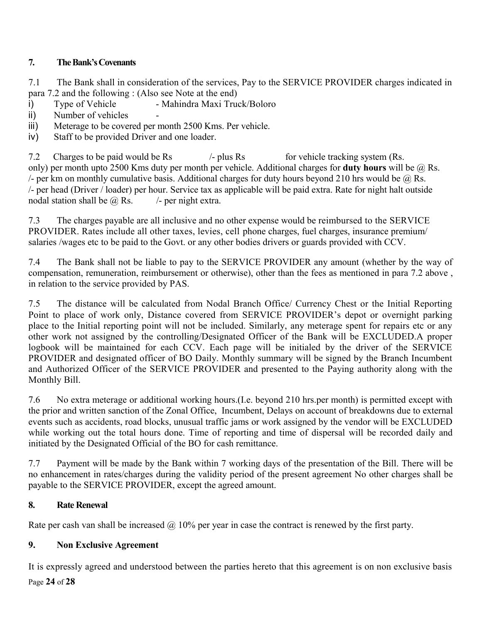# **7. The Bank's Covenants**

7.1 The Bank shall in consideration of the services, Pay to the SERVICE PROVIDER charges indicated in para 7.2 and the following : (Also see Note at the end)

- i) Type of Vehicle Mahindra Maxi Truck/Boloro
- ii) Number of vehicles
- iii) Meterage to be covered per month 2500 Kms. Per vehicle.
- iv) Staff to be provided Driver and one loader.

7.2 Charges to be paid would be Rs  $\mu$ - plus Rs for vehicle tracking system (Rs. only) per month upto 2500 Kms duty per month per vehicle. Additional charges for **duty hours** will be @ Rs. - per km on monthly cumulative basis. Additional charges for duty hours beyond 210 hrs would be  $\omega$  Rs. /- per head (Driver / loader) per hour. Service tax as applicable will be paid extra. Rate for night halt outside nodal station shall be  $\omega$  Rs.  $\qquad$  /- per night extra.

7.3 The charges payable are all inclusive and no other expense would be reimbursed to the SERVICE PROVIDER. Rates include all other taxes, levies, cell phone charges, fuel charges, insurance premium/ salaries /wages etc to be paid to the Govt. or any other bodies drivers or guards provided with CCV.

7.4 The Bank shall not be liable to pay to the SERVICE PROVIDER any amount (whether by the way of compensation, remuneration, reimbursement or otherwise), other than the fees as mentioned in para 7.2 above , in relation to the service provided by PAS.

7.5 The distance will be calculated from Nodal Branch Office/ Currency Chest or the Initial Reporting Point to place of work only, Distance covered from SERVICE PROVIDER's depot or overnight parking place to the Initial reporting point will not be included. Similarly, any meterage spent for repairs etc or any other work not assigned by the controlling/Designated Officer of the Bank will be EXCLUDED.A proper logbook will be maintained for each CCV. Each page will be initialed by the driver of the SERVICE PROVIDER and designated officer of BO Daily. Monthly summary will be signed by the Branch Incumbent and Authorized Officer of the SERVICE PROVIDER and presented to the Paying authority along with the Monthly Bill.

7.6 No extra meterage or additional working hours.(I.e. beyond 210 hrs.per month) is permitted except with the prior and written sanction of the Zonal Office, Incumbent, Delays on account of breakdowns due to external events such as accidents, road blocks, unusual traffic jams or work assigned by the vendor will be EXCLUDED while working out the total hours done. Time of reporting and time of dispersal will be recorded daily and initiated by the Designated Official of the BO for cash remittance.

7.7 Payment will be made by the Bank within 7 working days of the presentation of the Bill. There will be no enhancement in rates/charges during the validity period of the present agreement No other charges shall be payable to the SERVICE PROVIDER, except the agreed amount.

# **8. Rate Renewal**

Rate per cash van shall be increased  $\omega$  10% per year in case the contract is renewed by the first party.

# **9. Non Exclusive Agreement**

It is expressly agreed and understood between the parties hereto that this agreement is on non exclusive basis Page **24** of **28**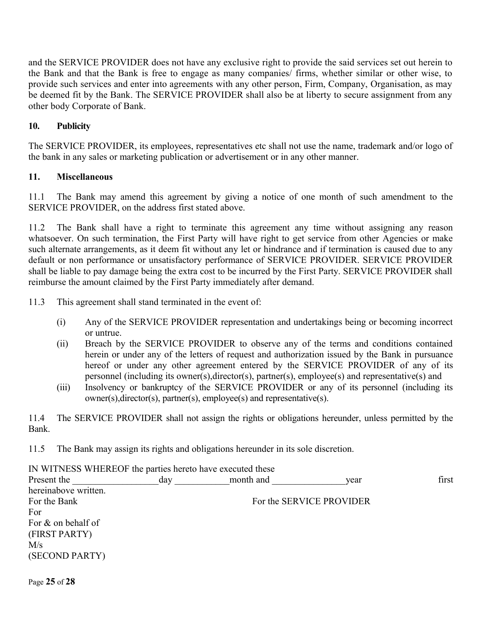and the SERVICE PROVIDER does not have any exclusive right to provide the said services set out herein to the Bank and that the Bank is free to engage as many companies/ firms, whether similar or other wise, to provide such services and enter into agreements with any other person, Firm, Company, Organisation, as may be deemed fit by the Bank. The SERVICE PROVIDER shall also be at liberty to secure assignment from any other body Corporate of Bank.

### **10. Publicity**

The SERVICE PROVIDER, its employees, representatives etc shall not use the name, trademark and/or logo of the bank in any sales or marketing publication or advertisement or in any other manner.

### **11. Miscellaneous**

11.1 The Bank may amend this agreement by giving a notice of one month of such amendment to the SERVICE PROVIDER, on the address first stated above.

11.2 The Bank shall have a right to terminate this agreement any time without assigning any reason whatsoever. On such termination, the First Party will have right to get service from other Agencies or make such alternate arrangements, as it deem fit without any let or hindrance and if termination is caused due to any default or non performance or unsatisfactory performance of SERVICE PROVIDER. SERVICE PROVIDER shall be liable to pay damage being the extra cost to be incurred by the First Party. SERVICE PROVIDER shall reimburse the amount claimed by the First Party immediately after demand.

11.3 This agreement shall stand terminated in the event of:

- (i) Any of the SERVICE PROVIDER representation and undertakings being or becoming incorrect or untrue.
- (ii) Breach by the SERVICE PROVIDER to observe any of the terms and conditions contained herein or under any of the letters of request and authorization issued by the Bank in pursuance hereof or under any other agreement entered by the SERVICE PROVIDER of any of its personnel (including its owner(s),director(s), partner(s), employee(s) and representative(s) and
- (iii) Insolvency or bankruptcy of the SERVICE PROVIDER or any of its personnel (including its owner(s),director(s), partner(s), employee(s) and representative(s).

11.4 The SERVICE PROVIDER shall not assign the rights or obligations hereunder, unless permitted by the Bank.

11.5 The Bank may assign its rights and obligations hereunder in its sole discretion.

| IN WITNESS WHEREOF the parties hereto have executed these |     |           |                          |       |
|-----------------------------------------------------------|-----|-----------|--------------------------|-------|
| Present the                                               | day | month and | year                     | first |
| hereinabove written.                                      |     |           |                          |       |
| For the Bank                                              |     |           | For the SERVICE PROVIDER |       |
| For                                                       |     |           |                          |       |
| For $\&$ on behalf of                                     |     |           |                          |       |
| (FIRST PARTY)                                             |     |           |                          |       |
| M/s                                                       |     |           |                          |       |
| (SECOND PARTY)                                            |     |           |                          |       |
|                                                           |     |           |                          |       |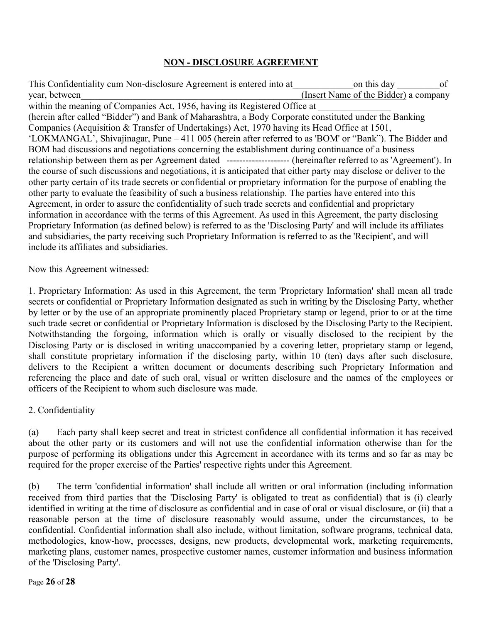# **NON - DISCLOSURE AGREEMENT**

This Confidentiality cum Non-disclosure Agreement is entered into at a control on this day of year, between (Insert Name of the Bidder) a company within the meaning of Companies Act, 1956, having its Registered Office at (herein after called "Bidder") and Bank of Maharashtra, a Body Corporate constituted under the Banking Companies (Acquisition & Transfer of Undertakings) Act, 1970 having its Head Office at 1501, 'LOKMANGAL', Shivajinagar, Pune – 411 005 (herein after referred to as 'BOM' or "Bank"). The Bidder and BOM had discussions and negotiations concerning the establishment during continuance of a business relationship between them as per Agreement dated -------------------- (hereinafter referred to as 'Agreement'). In the course of such discussions and negotiations, it is anticipated that either party may disclose or deliver to the other party certain of its trade secrets or confidential or proprietary information for the purpose of enabling the other party to evaluate the feasibility of such a business relationship. The parties have entered into this Agreement, in order to assure the confidentiality of such trade secrets and confidential and proprietary information in accordance with the terms of this Agreement. As used in this Agreement, the party disclosing Proprietary Information (as defined below) is referred to as the 'Disclosing Party' and will include its affiliates and subsidiaries, the party receiving such Proprietary Information is referred to as the 'Recipient', and will include its affiliates and subsidiaries.

Now this Agreement witnessed:

1. Proprietary Information: As used in this Agreement, the term 'Proprietary Information' shall mean all trade secrets or confidential or Proprietary Information designated as such in writing by the Disclosing Party, whether by letter or by the use of an appropriate prominently placed Proprietary stamp or legend, prior to or at the time such trade secret or confidential or Proprietary Information is disclosed by the Disclosing Party to the Recipient. Notwithstanding the forgoing, information which is orally or visually disclosed to the recipient by the Disclosing Party or is disclosed in writing unaccompanied by a covering letter, proprietary stamp or legend, shall constitute proprietary information if the disclosing party, within 10 (ten) days after such disclosure, delivers to the Recipient a written document or documents describing such Proprietary Information and referencing the place and date of such oral, visual or written disclosure and the names of the employees or officers of the Recipient to whom such disclosure was made.

2. Confidentiality

(a) Each party shall keep secret and treat in strictest confidence all confidential information it has received about the other party or its customers and will not use the confidential information otherwise than for the purpose of performing its obligations under this Agreement in accordance with its terms and so far as may be required for the proper exercise of the Parties' respective rights under this Agreement.

(b) The term 'confidential information' shall include all written or oral information (including information received from third parties that the 'Disclosing Party' is obligated to treat as confidential) that is (i) clearly identified in writing at the time of disclosure as confidential and in case of oral or visual disclosure, or (ii) that a reasonable person at the time of disclosure reasonably would assume, under the circumstances, to be confidential. Confidential information shall also include, without limitation, software programs, technical data, methodologies, know-how, processes, designs, new products, developmental work, marketing requirements, marketing plans, customer names, prospective customer names, customer information and business information of the 'Disclosing Party'.

Page **26** of **28**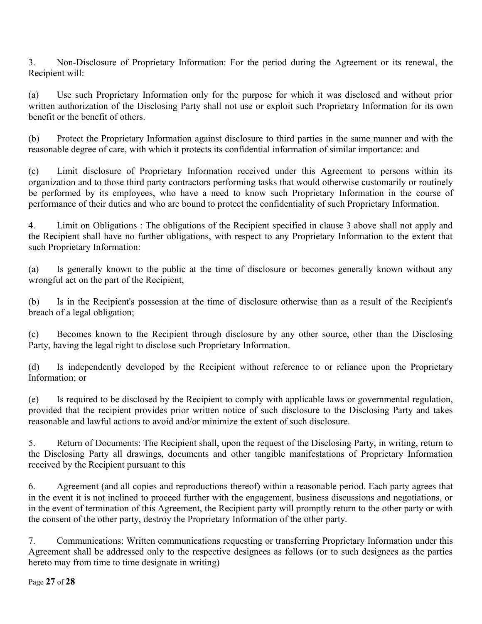3. Non-Disclosure of Proprietary Information: For the period during the Agreement or its renewal, the Recipient will:

(a) Use such Proprietary Information only for the purpose for which it was disclosed and without prior written authorization of the Disclosing Party shall not use or exploit such Proprietary Information for its own benefit or the benefit of others.

(b) Protect the Proprietary Information against disclosure to third parties in the same manner and with the reasonable degree of care, with which it protects its confidential information of similar importance: and

(c) Limit disclosure of Proprietary Information received under this Agreement to persons within its organization and to those third party contractors performing tasks that would otherwise customarily or routinely be performed by its employees, who have a need to know such Proprietary Information in the course of performance of their duties and who are bound to protect the confidentiality of such Proprietary Information.

4. Limit on Obligations : The obligations of the Recipient specified in clause 3 above shall not apply and the Recipient shall have no further obligations, with respect to any Proprietary Information to the extent that such Proprietary Information:

(a) Is generally known to the public at the time of disclosure or becomes generally known without any wrongful act on the part of the Recipient,

(b) Is in the Recipient's possession at the time of disclosure otherwise than as a result of the Recipient's breach of a legal obligation;

(c) Becomes known to the Recipient through disclosure by any other source, other than the Disclosing Party, having the legal right to disclose such Proprietary Information.

(d) Is independently developed by the Recipient without reference to or reliance upon the Proprietary Information; or

(e) Is required to be disclosed by the Recipient to comply with applicable laws or governmental regulation, provided that the recipient provides prior written notice of such disclosure to the Disclosing Party and takes reasonable and lawful actions to avoid and/or minimize the extent of such disclosure.

5. Return of Documents: The Recipient shall, upon the request of the Disclosing Party, in writing, return to the Disclosing Party all drawings, documents and other tangible manifestations of Proprietary Information received by the Recipient pursuant to this

6. Agreement (and all copies and reproductions thereof) within a reasonable period. Each party agrees that in the event it is not inclined to proceed further with the engagement, business discussions and negotiations, or in the event of termination of this Agreement, the Recipient party will promptly return to the other party or with the consent of the other party, destroy the Proprietary Information of the other party.

7. Communications: Written communications requesting or transferring Proprietary Information under this Agreement shall be addressed only to the respective designees as follows (or to such designees as the parties hereto may from time to time designate in writing)